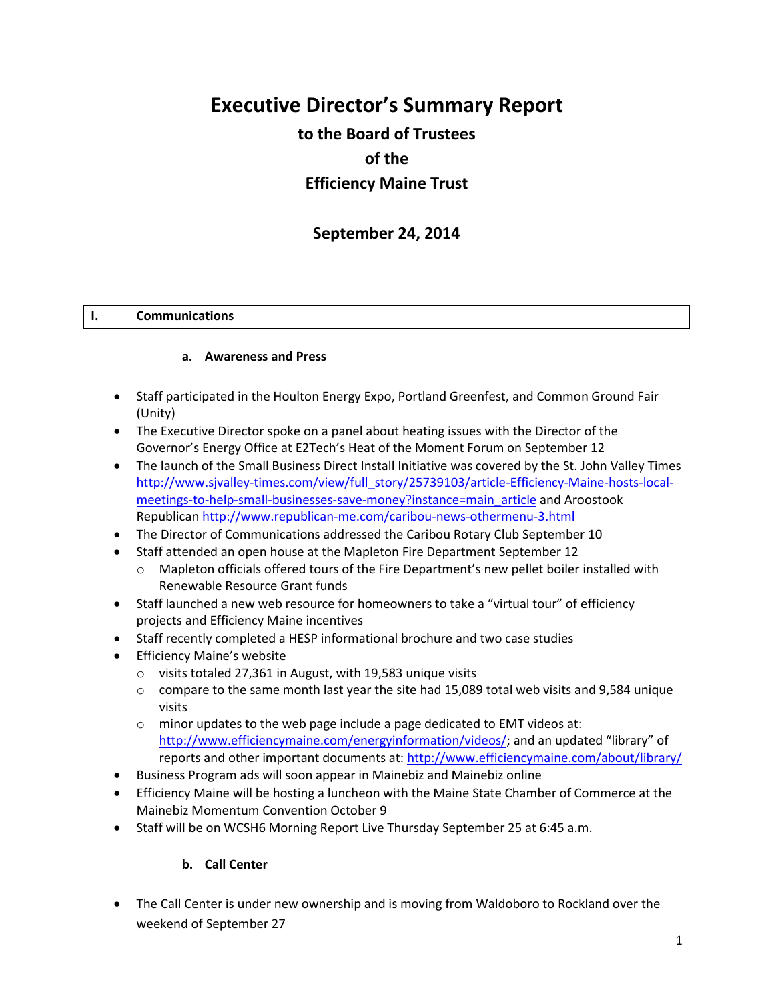# **Executive Director's Summary Report**

## **to the Board of Trustees of the Efficiency Maine Trust**

## **September 24, 2014**

#### **I. Communications**

#### **a. Awareness and Press**

- Staff participated in the Houlton Energy Expo, Portland Greenfest, and Common Ground Fair (Unity)
- The Executive Director spoke on a panel about heating issues with the Director of the Governor's Energy Office at E2Tech's Heat of the Moment Forum on September 12
- The launch of the Small Business Direct Install Initiative was covered by the St. John Valley Times [http://www.sjvalley-times.com/view/full\\_story/25739103/article-Efficiency-Maine-hosts-local](http://www.sjvalley-times.com/view/full_story/25739103/article-Efficiency-Maine-hosts-local-meetings-to-help-small-businesses-save-money?instance=main_article)[meetings-to-help-small-businesses-save-money?instance=main\\_article](http://www.sjvalley-times.com/view/full_story/25739103/article-Efficiency-Maine-hosts-local-meetings-to-help-small-businesses-save-money?instance=main_article) and Aroostook Republican<http://www.republican-me.com/caribou-news-othermenu-3.html>
- The Director of Communications addressed the Caribou Rotary Club September 10
- Staff attended an open house at the Mapleton Fire Department September 12
	- o Mapleton officials offered tours of the Fire Department's new pellet boiler installed with Renewable Resource Grant funds
- Staff launched a new web resource for homeowners to take a "virtual tour" of efficiency projects and Efficiency Maine incentives
- Staff recently completed a HESP informational brochure and two case studies
- **•** Efficiency Maine's website
	- o visits totaled 27,361 in August, with 19,583 unique visits
	- $\circ$  compare to the same month last year the site had 15,089 total web visits and 9,584 unique visits
	- $\circ$  minor updates to the web page include a page dedicated to EMT videos at: <http://www.efficiencymaine.com/energyinformation/videos/>; and an updated "library" of reports and other important documents at:<http://www.efficiencymaine.com/about/library/>
- Business Program ads will soon appear in Mainebiz and Mainebiz online
- Efficiency Maine will be hosting a luncheon with the Maine State Chamber of Commerce at the Mainebiz Momentum Convention October 9
- Staff will be on WCSH6 Morning Report Live Thursday September 25 at 6:45 a.m.

#### **b. Call Center**

 The Call Center is under new ownership and is moving from Waldoboro to Rockland over the weekend of September 27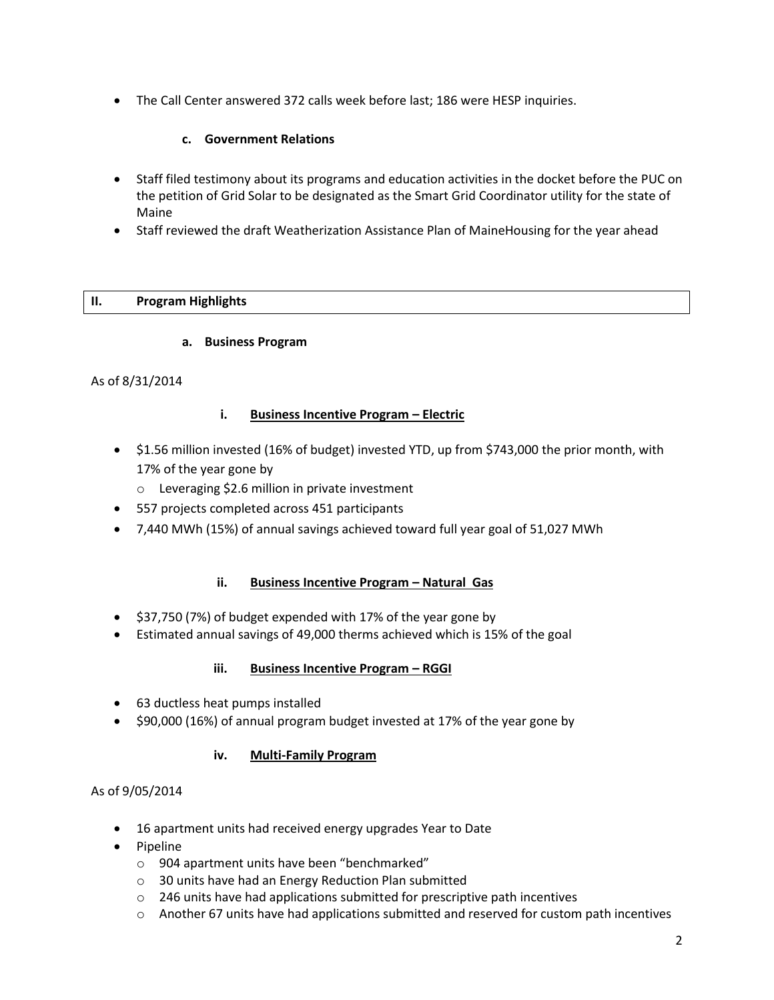The Call Center answered 372 calls week before last; 186 were HESP inquiries.

## **c. Government Relations**

- Staff filed testimony about its programs and education activities in the docket before the PUC on the petition of Grid Solar to be designated as the Smart Grid Coordinator utility for the state of Maine
- Staff reviewed the draft Weatherization Assistance Plan of MaineHousing for the year ahead

## **II. Program Highlights**

#### **a. Business Program**

#### As of 8/31/2014

#### **i. Business Incentive Program – Electric**

- \$1.56 million invested (16% of budget) invested YTD, up from \$743,000 the prior month, with 17% of the year gone by
	- o Leveraging \$2.6 million in private investment
- 557 projects completed across 451 participants
- 7,440 MWh (15%) of annual savings achieved toward full year goal of 51,027 MWh

## **ii.** Business Incentive Program - Natural Gas

- \$37,750 (7%) of budget expended with 17% of the year gone by
- Estimated annual savings of 49,000 therms achieved which is 15% of the goal

#### **iii. Business Incentive Program – RGGI**

- 63 ductless heat pumps installed
- \$90,000 (16%) of annual program budget invested at 17% of the year gone by

## **iv. Multi-Family Program**

## As of 9/05/2014

- 16 apartment units had received energy upgrades Year to Date
- Pipeline
	- o 904 apartment units have been "benchmarked"
	- o 30 units have had an Energy Reduction Plan submitted
	- $\circ$  246 units have had applications submitted for prescriptive path incentives
	- $\circ$  Another 67 units have had applications submitted and reserved for custom path incentives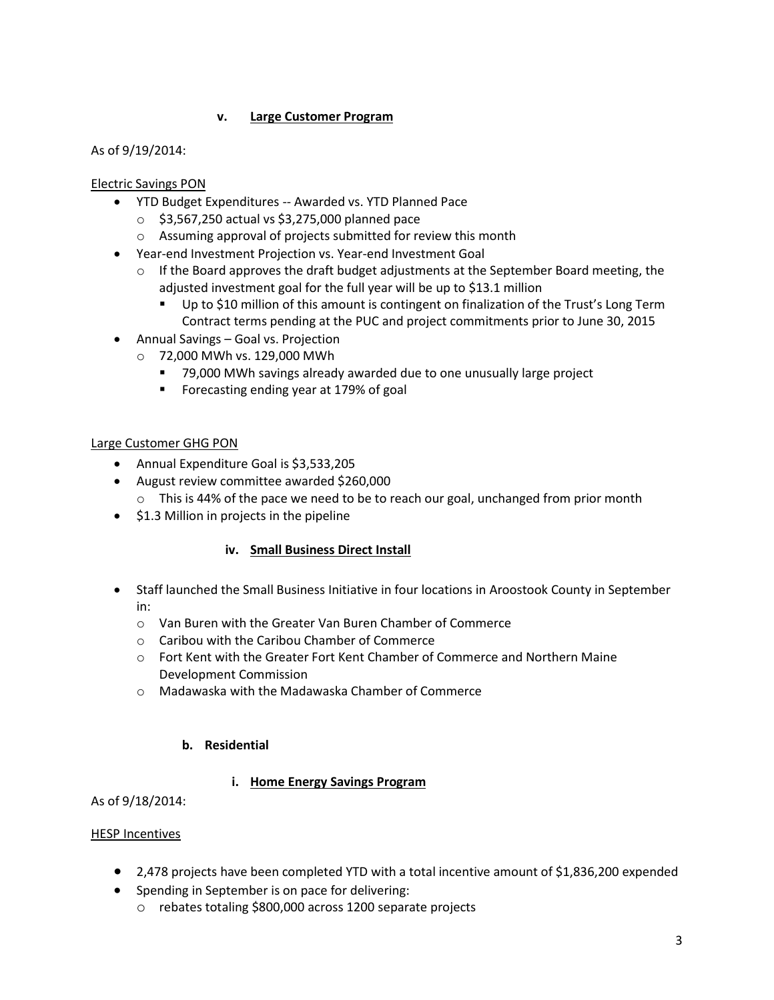## **v. Large Customer Program**

As of 9/19/2014:

Electric Savings PON

- YTD Budget Expenditures -- Awarded vs. YTD Planned Pace
	- $\circ$  \$3,567,250 actual vs \$3,275,000 planned pace
	- o Assuming approval of projects submitted for review this month
- Year-end Investment Projection vs. Year-end Investment Goal
	- $\circ$  If the Board approves the draft budget adjustments at the September Board meeting, the adjusted investment goal for the full year will be up to \$13.1 million
		- Up to \$10 million of this amount is contingent on finalization of the Trust's Long Term Contract terms pending at the PUC and project commitments prior to June 30, 2015
- Annual Savings Goal vs. Projection
	- o 72,000 MWh vs. 129,000 MWh
		- 79,000 MWh savings already awarded due to one unusually large project
		- **F** Forecasting ending year at 179% of goal

## Large Customer GHG PON

- Annual Expenditure Goal is \$3,533,205
- August review committee awarded \$260,000
	- o This is 44% of the pace we need to be to reach our goal, unchanged from prior month
- \$1.3 Million in projects in the pipeline

## **iv. Small Business Direct Install**

- Staff launched the Small Business Initiative in four locations in Aroostook County in September in:
	- o Van Buren with the Greater Van Buren Chamber of Commerce
	- o Caribou with the Caribou Chamber of Commerce
	- o Fort Kent with the Greater Fort Kent Chamber of Commerce and Northern Maine Development Commission
	- o Madawaska with the Madawaska Chamber of Commerce

## **b. Residential**

## **i. Home Energy Savings Program**

As of 9/18/2014:

## HESP Incentives

- 2,478 projects have been completed YTD with a total incentive amount of \$1,836,200 expended
- Spending in September is on pace for delivering:
	- o rebates totaling \$800,000 across 1200 separate projects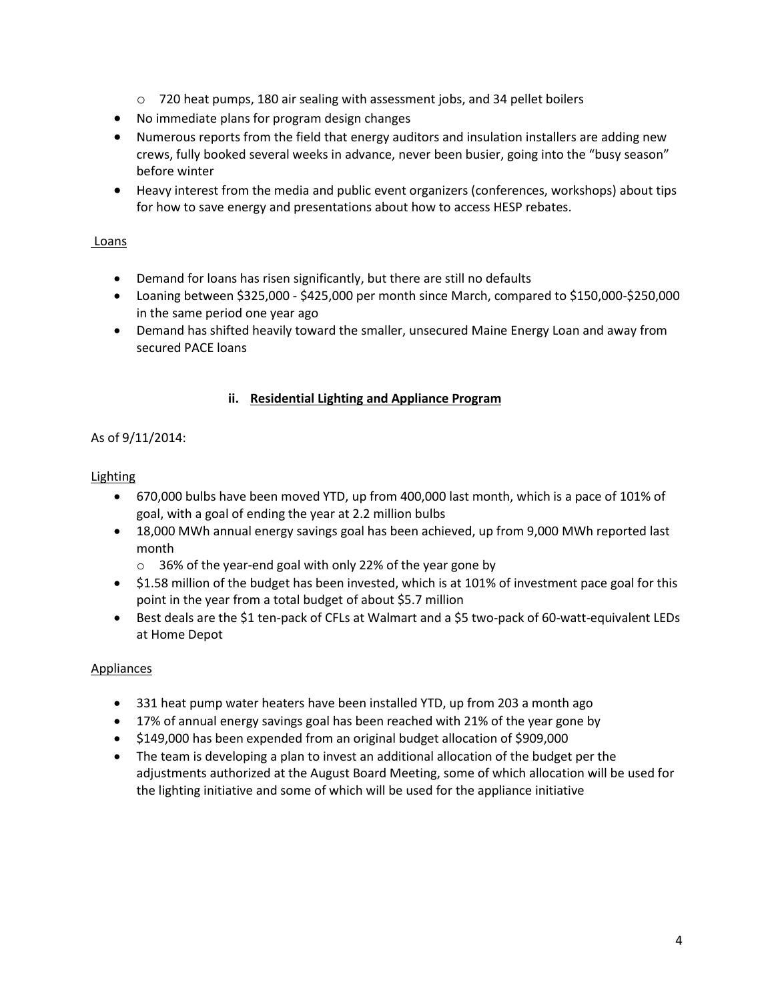- o 720 heat pumps, 180 air sealing with assessment jobs, and 34 pellet boilers
- No immediate plans for program design changes
- Numerous reports from the field that energy auditors and insulation installers are adding new crews, fully booked several weeks in advance, never been busier, going into the "busy season" before winter
- Heavy interest from the media and public event organizers (conferences, workshops) about tips for how to save energy and presentations about how to access HESP rebates.

## Loans

- Demand for loans has risen significantly, but there are still no defaults
- Loaning between \$325,000 \$425,000 per month since March, compared to \$150,000-\$250,000 in the same period one year ago
- Demand has shifted heavily toward the smaller, unsecured Maine Energy Loan and away from secured PACE loans

## **ii. Residential Lighting and Appliance Program**

## As of 9/11/2014:

## Lighting

- 670,000 bulbs have been moved YTD, up from 400,000 last month, which is a pace of 101% of goal, with a goal of ending the year at 2.2 million bulbs
- 18,000 MWh annual energy savings goal has been achieved, up from 9,000 MWh reported last month
	- o 36% of the year-end goal with only 22% of the year gone by
- \$1.58 million of the budget has been invested, which is at 101% of investment pace goal for this point in the year from a total budget of about \$5.7 million
- Best deals are the \$1 ten-pack of CFLs at Walmart and a \$5 two-pack of 60-watt-equivalent LEDs at Home Depot

## Appliances

- 331 heat pump water heaters have been installed YTD, up from 203 a month ago
- 17% of annual energy savings goal has been reached with 21% of the year gone by
- \$149,000 has been expended from an original budget allocation of \$909,000
- The team is developing a plan to invest an additional allocation of the budget per the adjustments authorized at the August Board Meeting, some of which allocation will be used for the lighting initiative and some of which will be used for the appliance initiative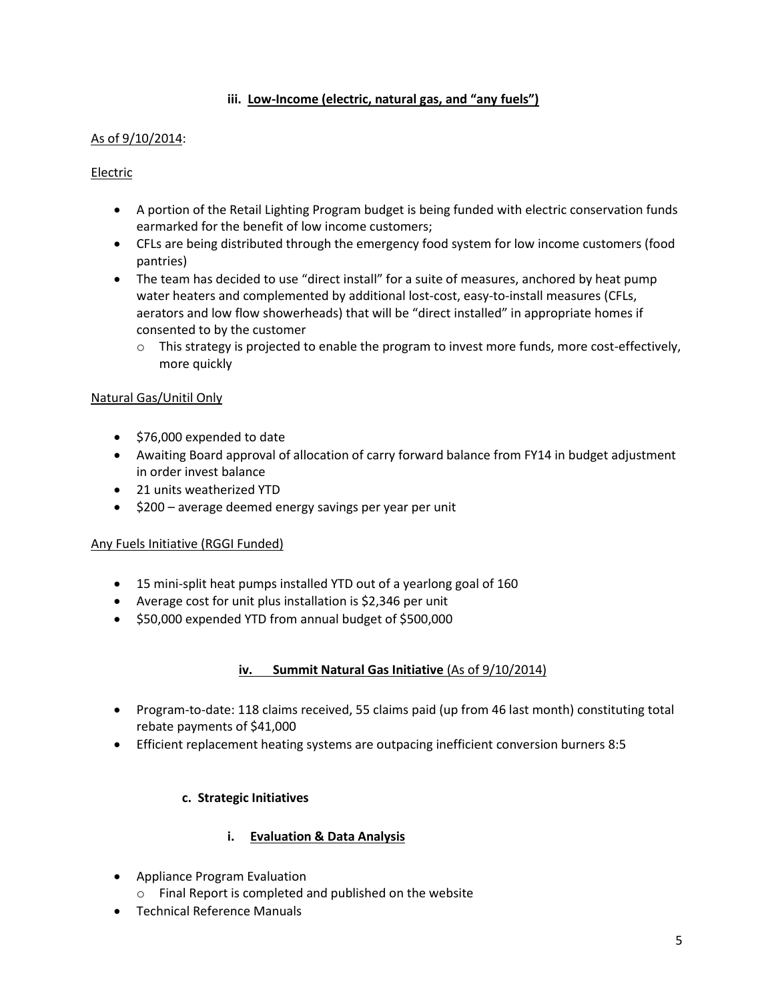## **iii. Low-Income (electric, natural gas, and "any fuels")**

## As of 9/10/2014:

#### Electric

- A portion of the Retail Lighting Program budget is being funded with electric conservation funds earmarked for the benefit of low income customers;
- CFLs are being distributed through the emergency food system for low income customers (food pantries)
- The team has decided to use "direct install" for a suite of measures, anchored by heat pump water heaters and complemented by additional lost-cost, easy-to-install measures (CFLs, aerators and low flow showerheads) that will be "direct installed" in appropriate homes if consented to by the customer
	- $\circ$  This strategy is projected to enable the program to invest more funds, more cost-effectively, more quickly

#### Natural Gas/Unitil Only

- \$76,000 expended to date
- Awaiting Board approval of allocation of carry forward balance from FY14 in budget adjustment in order invest balance
- 21 units weatherized YTD
- \$200 average deemed energy savings per year per unit

#### Any Fuels Initiative (RGGI Funded)

- 15 mini-split heat pumps installed YTD out of a yearlong goal of 160
- Average cost for unit plus installation is \$2,346 per unit
- $\bullet$  \$50,000 expended YTD from annual budget of \$500,000

#### **iv. Summit Natural Gas Initiative** (As of 9/10/2014)

- Program-to-date: 118 claims received, 55 claims paid (up from 46 last month) constituting total rebate payments of \$41,000
- Efficient replacement heating systems are outpacing inefficient conversion burners 8:5

#### **c. Strategic Initiatives**

#### **i. Evaluation & Data Analysis**

- Appliance Program Evaluation
	- o Final Report is completed and published on the website
- Technical Reference Manuals